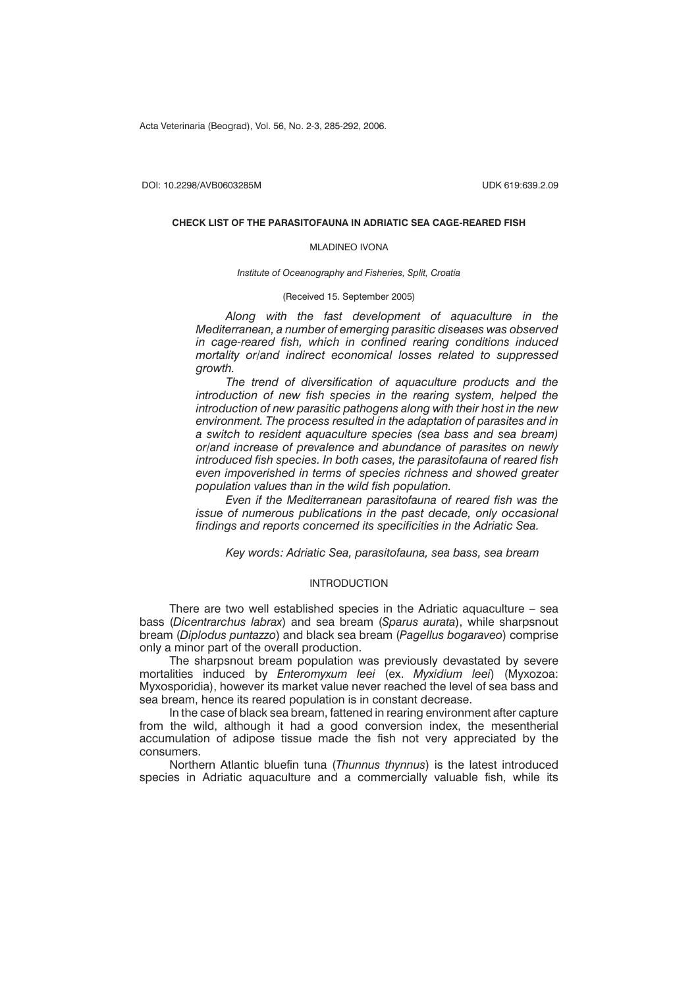Acta Veterinaria (Beograd), Vol. 56, No. 2-3, 285-292, 2006.

DOI: 10.2298/AVB0603285M UDK 619:639.2.09

#### **CHECK LIST OF THE PARASITOFAUNA IN ADRIATIC SEA CAGE-REARED FISH**

#### MLADINEO IVONA

*Institute of Oceanography and Fisheries, Split, Croatia*

(Received 15. September 2005)

*Along with the fast development of aquaculture in the Mediterranean, a number of emerging parasitic diseases was observed in cage-reared fish, which in confined rearing conditions induced mortality or/and indirect economical losses related to suppressed growth.*

*The trend of diversification of aquaculture products and the introduction of new fish species in the rearing system, helped the introduction of new parasitic pathogens along with their host in the new environment. The process resulted in the adaptation of parasites and in a switch to resident aquaculture species (sea bass and sea bream) or/and increase of prevalence and abundance of parasites on newly introduced fish species. In both cases, the parasitofauna of reared fish even impoverished in terms of species richness and showed greater population values than in the wild fish population.*

*Even if the Mediterranean parasitofauna of reared fish was the issue of numerous publications in the past decade, only occasional findings and reports concerned its specificities in the Adriatic Sea.*

*Key words: Adriatic Sea, parasitofauna, sea bass, sea bream*

# INTRODUCTION

There are two well established species in the Adriatic aquaculture – sea bass (*Dicentrarchus labrax*) and sea bream (*Sparus aurata*), while sharpsnout bream (*Diplodus puntazzo*) and black sea bream (*Pagellus bogaraveo*) comprise only a minor part of the overall production.

The sharpsnout bream population was previously devastated by severe mortalities induced by *Enteromyxum leei* (ex. *Myxidium leei*) (Myxozoa: Myxosporidia), however its market value never reached the level of sea bass and sea bream, hence its reared population is in constant decrease.

In the case of black sea bream, fattened in rearing environment after capture from the wild, although it had a good conversion index, the mesentherial accumulation of adipose tissue made the fish not very appreciated by the consumers.

Northern Atlantic bluefin tuna (*Thunnus thynnus*) is the latest introduced species in Adriatic aquaculture and a commercially valuable fish, while its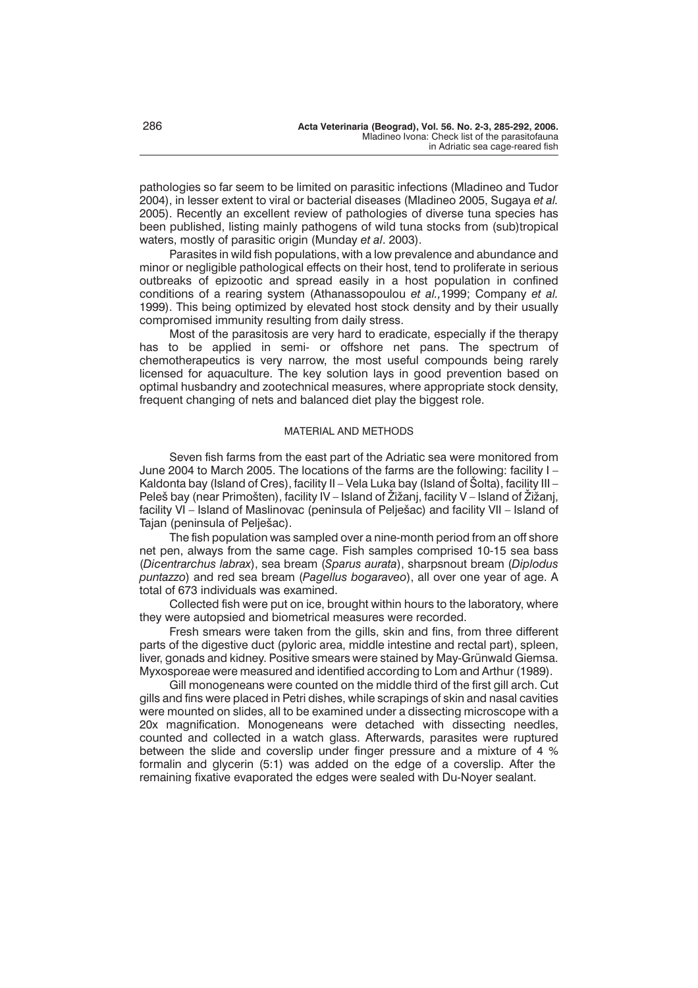pathologies so far seem to be limited on parasitic infections (Mladineo and Tudor 2004), in lesser extent to viral or bacterial diseases (Mladineo 2005, Sugaya *et al.* 2005). Recently an excellent review of pathologies of diverse tuna species has been published, listing mainly pathogens of wild tuna stocks from (sub)tropical waters, mostly of parasitic origin (Munday *et al*. 2003).

Parasites in wild fish populations, with a low prevalence and abundance and minor or negligible pathological effects on their host, tend to proliferate in serious outbreaks of epizootic and spread easily in a host population in confined conditions of a rearing system (Athanassopoulou *et al.,*1999; Company *et al.* 1999). This being optimized by elevated host stock density and by their usually compromised immunity resulting from daily stress.

Most of the parasitosis are very hard to eradicate, especially if the therapy has to be applied in semi- or offshore net pans. The spectrum of chemotherapeutics is very narrow, the most useful compounds being rarely licensed for aquaculture. The key solution lays in good prevention based on optimal husbandry and zootechnical measures, where appropriate stock density, frequent changing of nets and balanced diet play the biggest role.

# MATERIAL AND METHODS

Seven fish farms from the east part of the Adriatic sea were monitored from June 2004 to March 2005. The locations of the farms are the following: facility I – Kaldonta bay (Island of Cres), facility II – Vela Luka bay (Island of Šolta), facility III – Peleš bay (near Primošten), facility IV – Island of Žižanj, facility V – Island of Žižanj, facility VI – Island of Maslinovac (peninsula of Pelješac) and facility VII – Island of Tajan (peninsula of Pelješac).

The fish population was sampled over a nine-month period from an off shore net pen, always from the same cage. Fish samples comprised 10-15 sea bass (*Dicentrarchus labrax*), sea bream (*Sparus aurata*), sharpsnout bream (*Diplodus puntazzo*) and red sea bream (*Pagellus bogaraveo*), all over one year of age. A total of 673 individuals was examined.

Collected fish were put on ice, brought within hours to the laboratory, where they were autopsied and biometrical measures were recorded.

Fresh smears were taken from the gills, skin and fins, from three different parts of the digestive duct (pyloric area, middle intestine and rectal part), spleen, liver, gonads and kidney. Positive smears were stained by May-Grünwald Giemsa. Myxosporeae were measured and identified according to Lom and Arthur (1989).

Gill monogeneans were counted on the middle third of the first gill arch. Cut gills and fins were placed in Petri dishes, while scrapings of skin and nasal cavities were mounted on slides, all to be examined under a dissecting microscope with a 20x magnification. Monogeneans were detached with dissecting needles, counted and collected in a watch glass. Afterwards, parasites were ruptured between the slide and coverslip under finger pressure and a mixture of 4 % formalin and glycerin (5:1) was added on the edge of a coverslip. After the remaining fixative evaporated the edges were sealed with Du-Noyer sealant.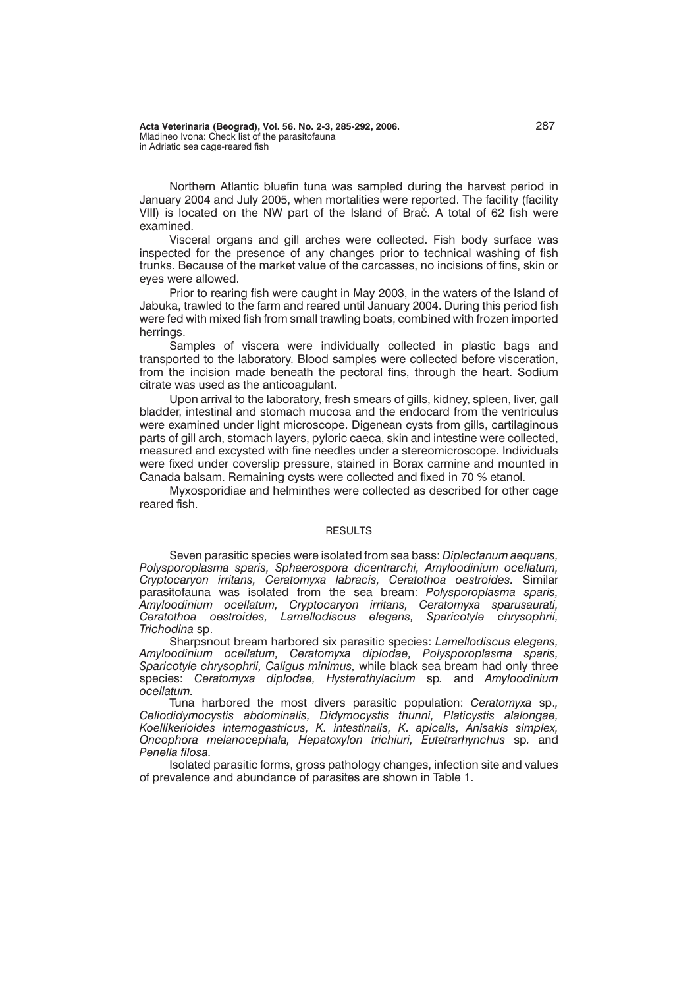Northern Atlantic bluefin tuna was sampled during the harvest period in January 2004 and July 2005, when mortalities were reported. The facility (facility VIII) is located on the NW part of the Island of Brač. A total of 62 fish were examined.

Visceral organs and gill arches were collected. Fish body surface was inspected for the presence of any changes prior to technical washing of fish trunks. Because of the market value of the carcasses, no incisions of fins, skin or eyes were allowed.

Prior to rearing fish were caught in May 2003, in the waters of the Island of Jabuka, trawled to the farm and reared until January 2004. During this period fish were fed with mixed fish from small trawling boats, combined with frozen imported herrings.

Samples of viscera were individually collected in plastic bags and transported to the laboratory. Blood samples were collected before visceration, from the incision made beneath the pectoral fins, through the heart. Sodium citrate was used as the anticoagulant.

Upon arrival to the laboratory, fresh smears of gills, kidney, spleen, liver, gall bladder, intestinal and stomach mucosa and the endocard from the ventriculus were examined under light microscope. Digenean cysts from gills, cartilaginous parts of gill arch, stomach layers, pyloric caeca, skin and intestine were collected, measured and excysted with fine needles under a stereomicroscope. Individuals were fixed under coverslip pressure, stained in Borax carmine and mounted in Canada balsam. Remaining cysts were collected and fixed in 70 % etanol.

Myxosporidiae and helminthes were collected as described for other cage reared fish.

#### **RESULTS**

Seven parasitic species were isolated from sea bass: *Diplectanum aequans, Polysporoplasma sparis, Sphaerospora dicentrarchi, Amyloodinium ocellatum, Cryptocaryon irritans, Ceratomyxa labracis, Ceratothoa oestroides.* Similar parasitofauna was isolated from the sea bream: *Polysporoplasma sparis, Amyloodinium ocellatum, Cryptocaryon irritans, Ceratomyxa sparusaurati, Ceratothoa oestroides, Lamellodiscus elegans, Sparicotyle chrysophrii, Trichodina* sp.

Sharpsnout bream harbored six parasitic species: *Lamellodiscus elegans, Amyloodinium ocellatum, Ceratomyxa diplodae, Polysporoplasma sparis, Sparicotyle chrysophrii, Caligus minimus,* while black sea bream had only three species: *Ceratomyxa diplodae, Hysterothylacium* sp*.* and *Amyloodinium ocellatum.*

Tuna harbored the most divers parasitic population: *Ceratomyxa* sp.*, Celiodidymocystis abdominalis, Didymocystis thunni, Platicystis alalongae, Koellikerioides internogastricus, K. intestinalis, K. apicalis, Anisakis simplex, Oncophora melanocephala, Hepatoxylon trichiuri, Eutetrarhynchus* sp*.* and *Penella filosa.*

Isolated parasitic forms, gross pathology changes, infection site and values of prevalence and abundance of parasites are shown in Table 1.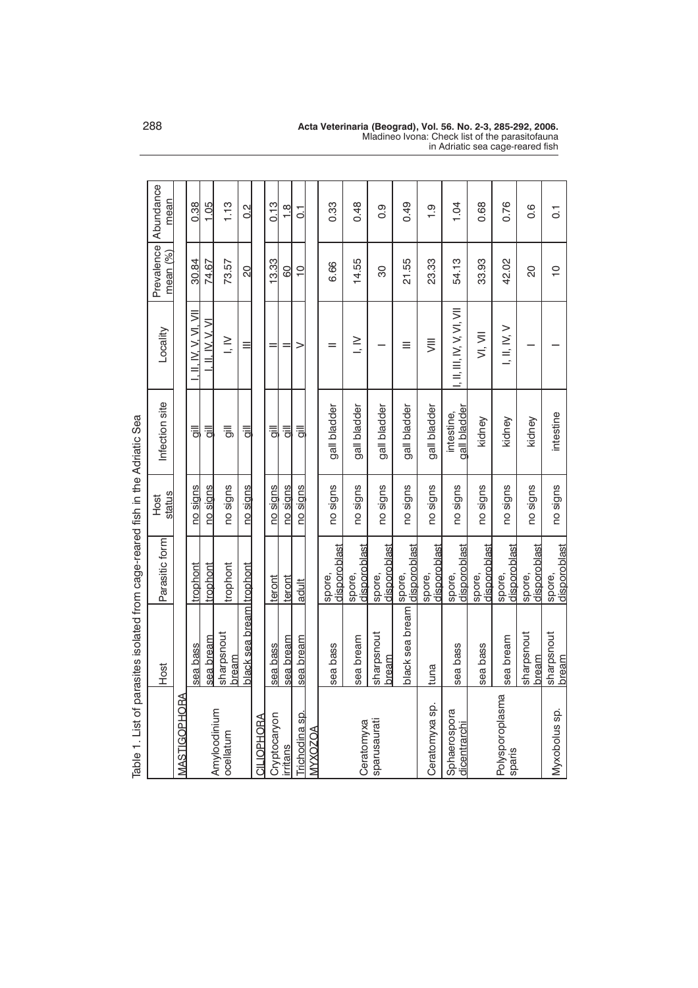| Table 1. List of parasites isolated from cage-reared fish in the Adriatic Sea |                                  |                        |                |                            |                            |                |                                |
|-------------------------------------------------------------------------------|----------------------------------|------------------------|----------------|----------------------------|----------------------------|----------------|--------------------------------|
|                                                                               | Host                             | Parasitic form         | status<br>Host | Infection site             | Locality                   | mean (%)       | Prevalence   Abundance<br>mean |
| <b>MASTIGOPHORA</b>                                                           |                                  |                        |                |                            |                            |                |                                |
|                                                                               | sea bass                         | trophont               | no signs       | $\equiv$                   | . II. IV. V. VI. VII       | 30.84          | 0.38                           |
| Amyloodinium                                                                  | sea bream                        | trophont               | no signs       | $\equiv$                   | . II. IV. V. VI            | 74.67          | 1.05                           |
| ocellatum                                                                     | sharpsnout<br>bream              | trophont               | no signs       | 륾                          | $\geq$                     | 73.57          | 1.13                           |
|                                                                               | <u>black sea bream Itrophont</u> |                        | no signs       | $\equiv$                   | ≡                          | 20             | $\frac{2}{3}$                  |
| <b>CILIOPHORA</b>                                                             |                                  |                        |                |                            |                            |                |                                |
| Cryptocaryon                                                                  | sea bass                         | teront                 | no signs       | $\equiv$                   |                            | 13.33          | 0.13                           |
| <b>irritans</b>                                                               | sea bream                        | teront                 | no signs       | ョ                          |                            | 8              | $\frac{8}{1}$                  |
| Trichodina sp.                                                                | sea bream                        | adult                  | no signs       | $\equiv$                   | >                          | $\overline{C}$ | $\overline{c}$                 |
| MYXOZOA                                                                       |                                  |                        |                |                            |                            |                |                                |
|                                                                               | sea bass                         | disporoblast<br>spore, | no signs       | gall bladder               | $=$                        | 6.66           | 0.33                           |
| Ceratomyxa                                                                    | sea bream                        | disporoblast<br>spore, | no signs       | gall bladder               | $\ge$                      | 14.55          | 0.48                           |
| sparusaurati                                                                  | sharpsnout<br>bream              | disporoblast<br>spore, | no signs       | gall bladder               |                            | 80             | 0.9                            |
|                                                                               | black sea bream                  | disporoblast<br>spore, | no signs       | gall bladder               | ≡                          | 21.55          | 0.49                           |
| Ceratomyxa sp.                                                                | tuna                             | disporoblast<br>spore, | no signs       | gall bladder               | $\equiv$                   | 23.33          | $\frac{1}{1}$                  |
| Sphaerospora<br>dicentrarchi                                                  | sea bass                         | disporoblast<br>spore, | no signs       | gall bladder<br>intestine, | I, II, III, IV, V, VI, VII | 54.13          | 1.04                           |
|                                                                               | sea bass                         | disporoblast<br>spore, | no signs       | kidney                     | VI, VII                    | 33.93          | 0.68                           |
| Polysporoplasma<br>sparis                                                     | sea bream                        | disporoblast<br>spore, | no signs       | kidney                     | I, II, IX, V               | 42.02          | 0.76                           |
|                                                                               | sharpsnout<br>bream              | disporoblast<br>spore, | no signs       | kidney                     |                            | $\overline{5}$ | 0.6                            |
| Myxobolus sp.                                                                 | sharpsnout<br>Ibream             | disporoblast<br>spore, | no signs       | intestine                  |                            | $\overline{C}$ | $\overline{O}$                 |

288 **Acta Veterinaria (Beograd), Vol. 56. No. 2-3, 285-292, 2006.** Mladineo Ivona: Check list of the parasitofauna in Adriatic sea cage-reared fish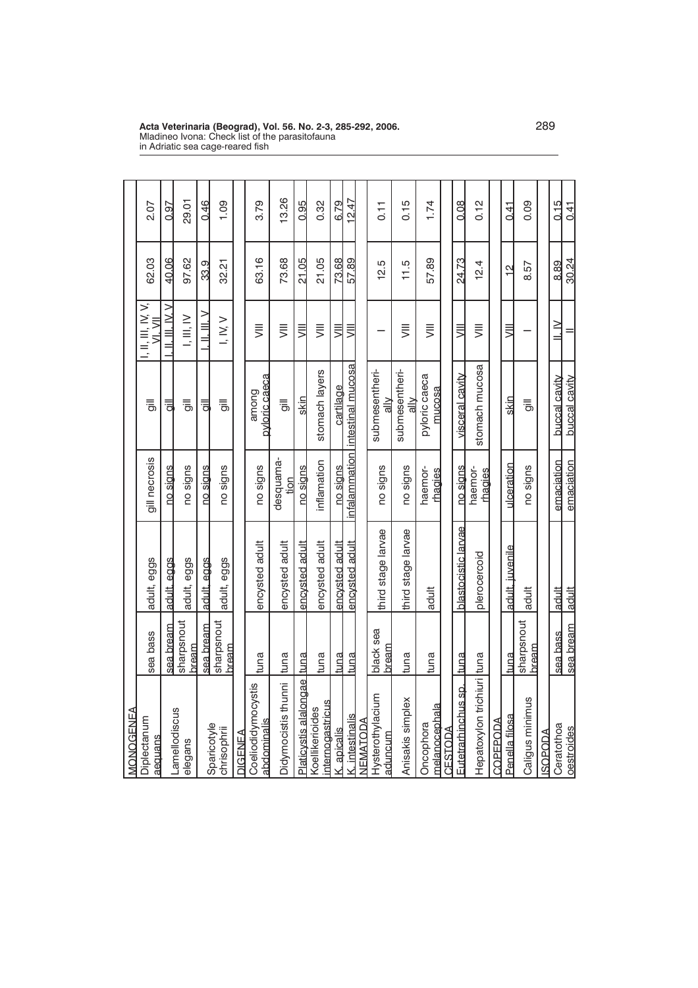| MONOGENEA                           |                      |                     |                           |                                 |                               |               |       |
|-------------------------------------|----------------------|---------------------|---------------------------|---------------------------------|-------------------------------|---------------|-------|
| Diplectanum<br>aequans              | sea bass             | adult, eggs         | gill necrosis             | $\equiv$                        | I, II, III, IV, V,<br>VI. VII | 62.03         | 2.07  |
|                                     | sea bream            | adult, eggs         | no signs                  | ョ                               | . II. III. IV. V              | 40.06         | 0.97  |
| Lamellodiscus<br>elegans            | sharpsnout<br>bream  | adult, eggs         | no signs                  | 킁                               | I, III, IV                    | 97.62         | 29.01 |
| Sparicotyle                         | sea bream            | adult, eggs         | no signs                  | 킁                               | ><br>- III. III               | 33.9          | 0.46  |
| chrisophrii                         | sharpsnout<br>bream  | adult, eggs         | no signs                  | 릥                               | I, IV, V                      | 32.21         | 1.09  |
| DIGENEA                             |                      |                     |                           |                                 |                               |               |       |
| Coeliodidymocystis<br>abdominalis   | tuna                 | encysted adult      | no signs                  | pyloric caeca<br>among          | $\equiv$                      | 63.16         | 3.79  |
| Didymocistis thunni tuna            |                      | encysted adult      | desquama-<br>tion         | $\equiv$                        | $\equiv$                      | 73.68         | 13.26 |
| Platicystis alalongae Ituna         |                      | encysted adult      | no signs                  | skin                            | W                             | 21.05         | 0.95  |
| internogastricus<br>Koellikerioides | tuna                 | encysted adult      | inflamation               | stomach layers                  | $\equiv$                      | 21.05         | 0.32  |
| K. apicalis                         | tuna                 | encysted adult      | no sians                  | cartilage                       | $\equiv$                      | 73.68         | 6.79  |
| K. intestinalis                     | <u>ltuna</u>         | encysted adult      | infalammation             | intestinal mucosa               | $\equiv$                      | 57.89         | 12.47 |
| <b>NEMATODA</b>                     |                      |                     |                           |                                 |                               |               |       |
| Hysterothylacium<br>aduncum         | black sea<br>bream   | third stage larvae  | no signs                  | submesentheri-<br>$\frac{2}{a}$ |                               | 12.5          | 0.11  |
| Anisakis simplex                    | tuna                 | third stage larvae  | no signs                  | submesentheri-<br>$\frac{1}{a}$ | $\equiv$                      | 11.5          | 0.15  |
| melanocephala<br>Oncophora          | tuna                 | adult               | haemor-<br><u>thagies</u> | pyloric caeca<br>mucosa         | $\equiv$                      | 57.89         | 1.74  |
| CESTODA                             |                      |                     |                           |                                 |                               |               |       |
| Eutetrarhinchus sp.                 | <u>ltuna</u>         | blastocistic larvae | no signs                  | visceral cavity                 | $\equiv$                      | 24.73         | 0.08  |
| Hepatoxylon trichiuri tuna          |                      | plerocercoid        | haemor-<br>chaqies        | stomach mucosa                  | $\equiv$                      | 12.4          | 0.12  |
| COPEPODA                            |                      |                     |                           |                                 |                               |               |       |
| Penella filosa                      | ltuna                | adult. iuvenile     | ulceration                | skin                            | $\equiv$                      | $\frac{1}{2}$ | 0.41  |
| Caligus minimus                     | sharpsnout<br>Ibream | adult               | no signs                  | 릉                               |                               | 8.57          | 0.09  |
| ROPODA                              |                      |                     |                           |                                 |                               |               |       |
| Ceratothoa                          | sea bass             | ladult              | emaciation                | buccal cavity                   | $\ge$                         | 8.89          | 0.15  |
| oestroides                          | sea bream            | ladult              | emaciation                | buccal cavity                   |                               | 30.24         | 0.41  |

**Acta Veterinaria (Beograd), Vol. 56. No. 2-3, 285-292, 2006.** 289 Mladineo Ivona: Check list of the parasitofauna in Adriatic sea cage-reared fish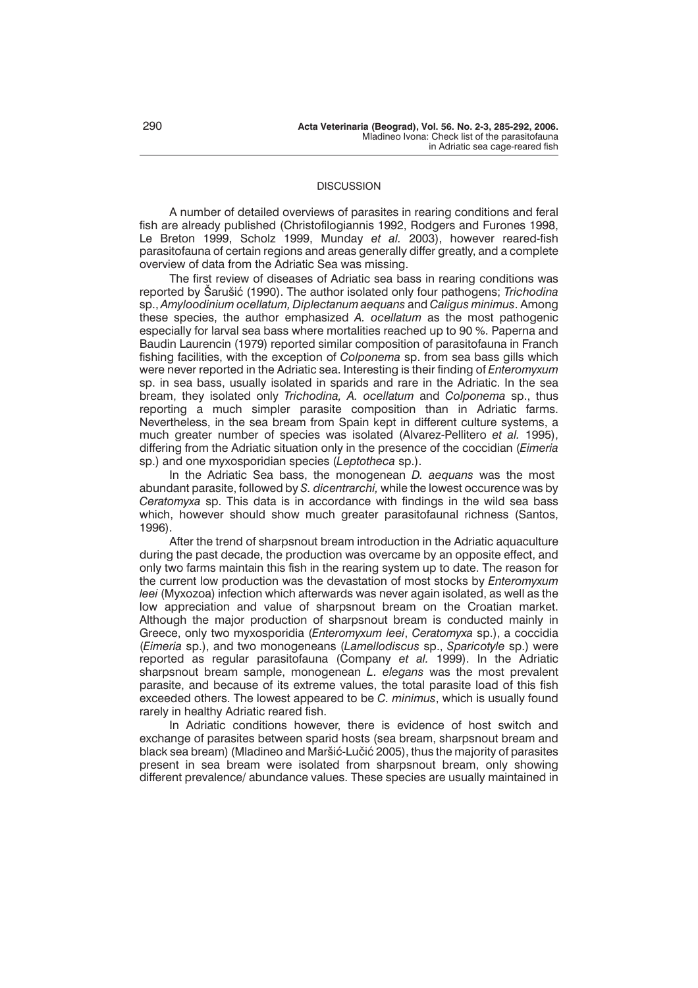# **DISCUSSION**

A number of detailed overviews of parasites in rearing conditions and feral fish are already published (Christofilogiannis 1992, Rodgers and Furones 1998, Le Breton 1999, Scholz 1999, Munday *et al.* 2003), however reared-fish parasitofauna of certain regions and areas generally differ greatly, and a complete overview of data from the Adriatic Sea was missing.

The first review of diseases of Adriatic sea bass in rearing conditions was reported by Šarušić (1990). The author isolated only four pathogens; *Trichodina* sp., *Amyloodinium ocellatum, Diplectanum aequans* and *Caligus minimus*. Among these species, the author emphasized *A. ocellatum* as the most pathogenic especially for larval sea bass where mortalities reached up to 90 %. Paperna and Baudin Laurencin (1979) reported similar composition of parasitofauna in Franch fishing facilities, with the exception of *Colponema* sp. from sea bass gills which were never reported in the Adriatic sea. Interesting is their finding of *Enteromyxum* sp. in sea bass, usually isolated in sparids and rare in the Adriatic. In the sea bream, they isolated only *Trichodina, A. ocellatum* and *Colponema* sp., thus reporting a much simpler parasite composition than in Adriatic farms. Nevertheless, in the sea bream from Spain kept in different culture systems, a much greater number of species was isolated (Alvarez-Pellitero *et al.* 1995), differing from the Adriatic situation only in the presence of the coccidian (*Eimeria* sp.) and one myxosporidian species (*Leptotheca* sp.).

In the Adriatic Sea bass, the monogenean *D. aequans* was the most abundant parasite, followed by *S. dicentrarchi,* while the lowest occurence was by *Ceratomyxa* sp. This data is in accordance with findings in the wild sea bass which, however should show much greater parasitofaunal richness (Santos, 1996).

After the trend of sharpsnout bream introduction in the Adriatic aquaculture during the past decade, the production was overcame by an opposite effect, and only two farms maintain this fish in the rearing system up to date. The reason for the current low production was the devastation of most stocks by *Enteromyxum leei* (Myxozoa) infection which afterwards was never again isolated, as well as the low appreciation and value of sharpsnout bream on the Croatian market. Although the major production of sharpsnout bream is conducted mainly in Greece, only two myxosporidia (*Enteromyxum leei*, *Ceratomyxa* sp.), a coccidia (*Eimeria* sp.), and two monogeneans (*Lamellodiscus* sp., *Sparicotyle* sp.) were reported as regular parasitofauna (Company *et al.* 1999). In the Adriatic sharpsnout bream sample, monogenean *L. elegans* was the most prevalent parasite, and because of its extreme values, the total parasite load of this fish exceeded others. The lowest appeared to be *C. minimus*, which is usually found rarely in healthy Adriatic reared fish.

In Adriatic conditions however, there is evidence of host switch and exchange of parasites between sparid hosts (sea bream, sharpsnout bream and black sea bream) (Mladineo and Maršić-Lučić 2005), thus the majority of parasites present in sea bream were isolated from sharpsnout bream, only showing different prevalence/ abundance values. These species are usually maintained in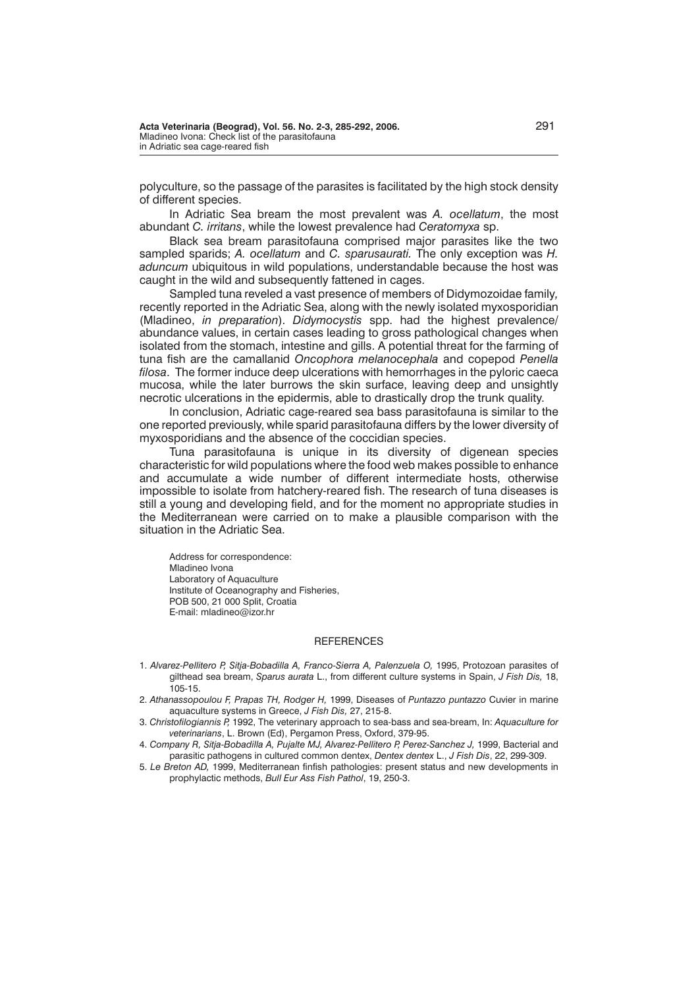polyculture, so the passage of the parasites is facilitated by the high stock density of different species.

In Adriatic Sea bream the most prevalent was *A. ocellatum*, the most abundant *C. irritans*, while the lowest prevalence had *Ceratomyxa* sp.

Black sea bream parasitofauna comprised major parasites like the two sampled sparids; *A. ocellatum* and *C. sparusaurati.* The only exception was *H. aduncum* ubiquitous in wild populations, understandable because the host was caught in the wild and subsequently fattened in cages.

Sampled tuna reveled a vast presence of members of Didymozoidae family*,* recently reported in the Adriatic Sea, along with the newly isolated myxosporidian (Mladineo, *in preparation*). *Didymocystis* spp. had the highest prevalence/ abundance values, in certain cases leading to gross pathological changes when isolated from the stomach, intestine and gills. A potential threat for the farming of tuna fish are the camallanid *Oncophora melanocephala* and copepod *Penella filosa*. The former induce deep ulcerations with hemorrhages in the pyloric caeca mucosa, while the later burrows the skin surface, leaving deep and unsightly necrotic ulcerations in the epidermis, able to drastically drop the trunk quality.

In conclusion, Adriatic cage-reared sea bass parasitofauna is similar to the one reported previously, while sparid parasitofauna differs by the lower diversity of myxosporidians and the absence of the coccidian species.

Tuna parasitofauna is unique in its diversity of digenean species characteristic for wild populations where the food web makes possible to enhance and accumulate a wide number of different intermediate hosts, otherwise impossible to isolate from hatchery-reared fish. The research of tuna diseases is still a young and developing field, and for the moment no appropriate studies in the Mediterranean were carried on to make a plausible comparison with the situation in the Adriatic Sea.

Address for correspondence: Mladineo Ivona Laboratory of Aquaculture Institute of Oceanography and Fisheries, POB 500, 21 000 Split, Croatia E-mail: mladineo@izor.hr

### **REFERENCES**

- 1. *Alvarez-Pellitero P, Sitja-Bobadilla A, Franco-Sierra A, Palenzuela O,* 1995, Protozoan parasites of gilthead sea bream, *Sparus aurata* L., from different culture systems in Spain, *J Fish Dis,* 18, 105-15.
- 2. *Athanassopoulou F, Prapas TH, Rodger H,* 1999, Diseases of *Puntazzo puntazzo* Cuvier in marine aquaculture systems in Greece, *J Fish Dis,* 27, 215-8.
- 3. *Christofilogiannis P,* 1992, The veterinary approach to sea-bass and sea-bream, In: *Aquaculture for veterinarians*, L. Brown (Ed), Pergamon Press, Oxford, 379-95.
- 4. *Company R, Sitja-Bobadilla A, Pujalte MJ, Alvarez-Pellitero P, Perez-Sanchez J,* 1999, Bacterial and parasitic pathogens in cultured common dentex, *Dentex dentex* L., *J Fish Dis*, 22, 299-309.
- 5. *Le Breton AD,* 1999, Mediterranean finfish pathologies: present status and new developments in prophylactic methods, *Bull Eur Ass Fish Pathol*, 19, 250-3.